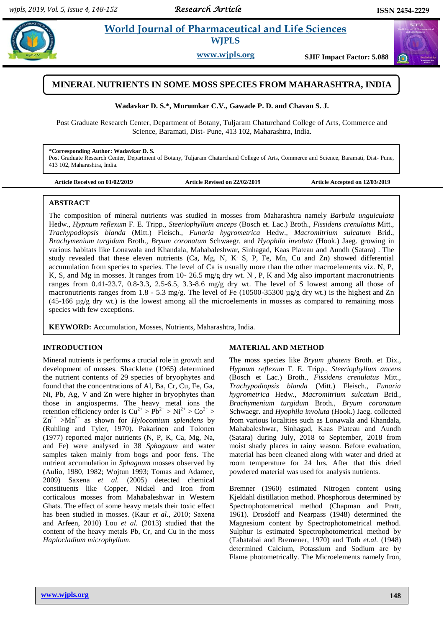$\bigodot$ 

# **Paramaceutical and Life Sciences WJPLS**

**www.wjpls.org SJIF Impact Factor: 5.088**

# **MINERAL NUTRIENTS IN SOME MOSS SPECIES FROM MAHARASHTRA, INDIA**

#### **Wadavkar D. S.\*, Murumkar C.V., Gawade P. D. and Chavan S. J.**

Post Graduate Research Center, Department of Botany, Tuljaram Chaturchand College of Arts, Commerce and Science, Baramati, Dist- Pune, 413 102, Maharashtra, India.

#### **\*Corresponding Author: Wadavkar D. S.**

Post Graduate Research Center, Department of Botany, Tuljaram Chaturchand College of Arts, Commerce and Science, Baramati, Dist- Pune, 413 102, Maharashtra, India.

| Article Received on 01/02/2019 |  |
|--------------------------------|--|
|--------------------------------|--|

Article Revised on 22/02/2019 **Article Accepted on 12/03/2019** 

#### **ABSTRACT**

The composition of mineral nutrients was studied in mosses from Maharashtra namely *Barbula unguiculata* Hedw.*, Hypnum reflexum* F. E. Tripp., *Steeriophyllum anceps* (Bosch et. Lac.) Broth., *Fissidens crenulatus* Mitt., *Trachypodiopsis blanda* (Mitt.) Fleisch., *Funaria hygrometrica* Hedw., *Macromitrium sulcatum* Brid.*, Brachymenium turgidum* Broth.*, Bryum coronatum* Schwaegr. and *Hyophila involuta* (Hook.) Jaeg. growing in various habitats like Lonawala and Khandala, Mahabaleshwar, Sinhagad, Kaas Plateau and Aundh (Satara) . The study revealed that these eleven nutrients (Ca, Mg, N, K<sup>.</sup> S, P, Fe, Mn, Cu and Zn) showed differential accumulation from species to species. The level of Ca is usually more than the other macroelements viz. N, P, K, S, and Mg in mosses. It ranges from 10- 26.5 mg/g dry wt. N, P, K and Mg also important macronutrients ranges from 0.41-23.7, 0.8-3.3, 2.5-6.5, 3.3-8.6 mg/g dry wt. The level of S lowest among all those of macronutrients ranges from 1.8 - 5.3 mg/g. The level of Fe (10500-35300  $\mu$ g/g dry wt.) is the highest and Zn (45-166 µg/g dry wt.) is the lowest among all the microelements in mosses as compared to remaining moss species with few exceptions.

**KEYWORD:** Accumulation, Mosses, Nutrients, Maharashtra, India.

### **INTRODUCTION**

Mineral nutrients is performs a crucial role in growth and development of mosses. Shacklette (1965) determined the nutrient contents of 29 species of bryophytes and found that the concentrations of Al, Ba, Cr, Cu, Fe, Ga, Ni, Pb, Ag, V and Zn were higher in bryophytes than those in angiosperms. The heavy metal ions the retention efficiency order is  $Cu^{2+} > Pb^{2+} > Ni^{2+} > Co^{2+} >$  $Zn^{2+}$  >Mn<sup>2+</sup> as shown for *Hylocomium splendens* by (Ruhling and Tyler, 1970). Pakarinen and Tolonen (1977) reported major nutrients (N, P, K, Ca, Mg, Na, and Fe) were analysed in 38 *Sphagnum* and water samples taken mainly from bogs and poor fens. The nutrient accumulation in *Sphagnum* mosses observed by (Aulio, 1980, 1982; Wojtun 1993; Tomas and Adamec, 2009) Saxena *et al.* (2005) detected chemical constituents like Copper, Nickel and Iron from corticalous mosses from Mahabaleshwar in Western Ghats. The effect of some heavy metals their toxic effect has been studied in mosses. (Kaur *et al.,* 2010; Saxena and Arfeen, 2010) Lou *et al.* (2013) studied that the content of the heavy metals Pb, Cr, and Cu in the moss *Haplocladium microphyllum*.

#### **MATERIAL AND METHOD**

The moss species like *Bryum ghatens* Broth. et Dix.*, Hypnum reflexum* F. E. Tripp., *Steeriophyllum ancens*  (Bosch et Lac.) Broth., *Fissidens crenulatus* Mitt., *Trachypodiopsis blanda* (Mitt.) Fleisch., *Funaria hygrometrica* Hedw., *Macromitrium sulcatum* Brid*., Brachymenium turgidum* Broth*., Bryum coronatum*  Schwaegr. and *Hyophila involuta* (Hook.) Jaeg. collected from various localities such as Lonawala and Khandala, Mahabaleshwar, Sinhagad, Kaas Plateau and Aundh (Satara) during July, 2018 to September, 2018 from moist shady places in rainy season. Before evaluation, material has been cleaned along with water and dried at room temperature for 24 hrs. After that this dried powdered material was used for analysis nutrients.

Bremner (1960) estimated Nitrogen content using Kjeldahl distillation method. Phosphorous determined by Spectrophotometrical method (Chapman and Pratt, 1961). Drosdoff and Nearpass (1948) determined the Magnesium content by Spectrophotometrical method. Sulphur is estimated Spectrophotometrical method by (Tabatabai and Bremener, 1970) and Toth *et.al.* (1948) determined Calcium, Potassium and Sodium are by Flame photometrically. The Microelements namely Iron,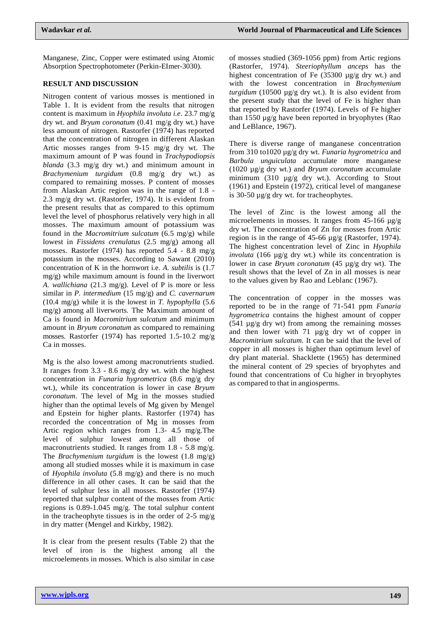Manganese, Zinc, Copper were estimated using Atomic Absorption Spectrophotometer (Perkin-EImer-3030).

## **RESULT AND DISCUSSION**

Nitrogen content of various mosses is mentioned in Table 1. It is evident from the results that nitrogen content is maximum in *Hyophila involuta i.e*. 23.7 mg/g dry wt. and *Bryum coronatum* (0.41 mg/g dry wt.) have less amount of nitrogen. Rastorfer (1974) has reported that the concentration of nitrogen in different Alaskan Artic mosses ranges from 9-15 mg/g dry wt. The maximum amount of P was found in *Trachypodiopsis blanda* (3.3 mg/g dry wt.) and minimum amount in *Brachymenium turgidum* (0.8 mg/g dry wt.) as compared to remaining mosses. P content of mosses from Alaskan Artic region was in the range of 1.8 - 2.3 mg/g dry wt. (Rastorfer, 1974). It is evident from the present results that as compared to this optimum level the level of phosphorus relatively very high in all mosses. The maximum amount of potassium was found in the *Macromitrium sulcatum* (6.5 mg/g) while lowest in *Fissidens crenulatus* (2.5 mg/g) among all mosses. Rastorfer (1974) has reported 5.4 - 8.8 mg/g potassium in the mosses. According to Sawant (2010) concentration of K in the hornwort i.e. *A. subtilis* is (1.7 mg/g) while maximum amount is found in the liverwort *A. wallichiana* (21.3 mg/g). Level of P is more or less similar in *P. intermedium* (15 mg/g) and *C. cavernarum* (10.4 mg/g) while it is the lowest in *T. hypophylla* (5.6 mg/g) among all liverworts. The Maximum amount of Ca is found in *Macromitrium sulcatum* and minimum amount in *Bryum coronatum* as compared to remaining mosses. Rastorfer (1974) has reported 1.5-10.2 mg/g Ca in mosses.

Mg is the also lowest among macronutrients studied. It ranges from 3.3 - 8.6 mg/g dry wt. with the highest concentration in *Funaria hygrometrica* (8.6 mg/g dry wt.), while its concentration is lower in case *Bryum coronatum*. The level of Mg in the mosses studied higher than the optimal levels of Mg given by Mengel and Epstein for higher plants. Rastorfer (1974) has recorded the concentration of Mg in mosses from Artic region which ranges from 1.3- 4.5 mg/g.The level of sulphur lowest among all those of macronutrients studied. It ranges from 1.8 - 5.8 mg/g. The *Brachymenium turgidum* is the lowest (1.8 mg/g) among all studied mosses while it is maximum in case of *Hyophila involuta* (5.8 mg/g) and there is no much difference in all other cases. It can be said that the level of sulphur less in all mosses. Rastorfer (1974) reported that sulphur content of the mosses from Artic regions is 0.89-1.045 mg/g. The total sulphur content in the tracheophyte tissues is in the order of  $2-5$  mg/g in dry matter (Mengel and Kirkby, 1982).

It is clear from the present results (Table 2) that the level of iron is the highest among all the microelements in mosses. Which is also similar in case

of mosses studied (369-1056 ppm) from Artic regions (Rastorfer, 1974). *Steeriophyllum anceps* has the highest concentration of Fe (35300 µg/g dry wt.) and with the lowest concentration in *Brachymenium turgidum* (10500 µg/g dry wt.). It is also evident from the present study that the level of Fe is higher than that reported by Rastorfer (1974). Levels of Fe higher than 1550 µg/g have been reported in bryophytes (Rao and LeBlance, 1967).

There is diverse range of manganese concentration from 310 to1020 µg/g dry wt. *Funaria hygrometrica* and *Barbula unguiculata* accumulate more manganese (1020 µg/g dry wt.) and *Bryum coronatum* accumulate minimum (310 µg/g dry wt.). According to Stout (1961) and Epstein (1972), critical level of manganese is 30-50 µg/g dry wt. for tracheophytes.

The level of Zinc is the lowest among all the microelements in mosses. It ranges from 45-166  $\mu$ g/g dry wt. The concentration of Zn for mosses from Artic region is in the range of 45-66 µg/g (Rastorfer, 1974). The highest concentration level of Zinc in *Hyophila involuta* (166 µg/g dry wt.) while its concentration is lower in case *Bryum coronatum* (45 µg/g dry wt). The result shows that the level of Zn in all mosses is near to the values given by Rao and Leblanc (1967).

The concentration of copper in the mosses was reported to be in the range of 71-541 ppm *Funaria hygrometrica* contains the highest amount of copper  $(541 \mu g/g$  dry wt) from among the remaining mosses and then lower with 71 µg/g dry wt of copper in *Macromitrium sulcatum.* It can be said that the level of copper in all mosses is higher than optimum level of dry plant material. Shacklette (1965) has determined the mineral content of 29 species of bryophytes and found that concentrations of Cu higher in bryophytes as compared to that in angiosperms.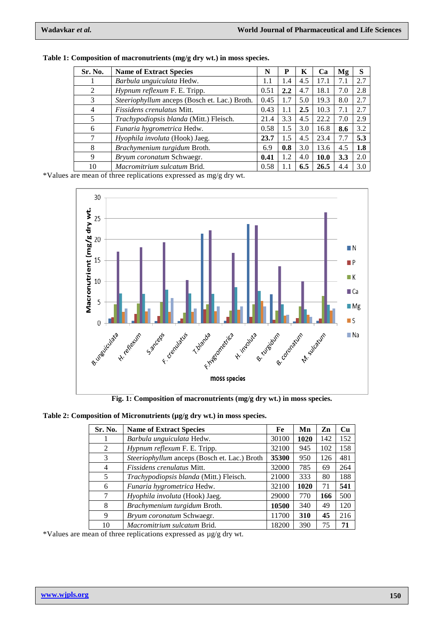| Sr. No. | <b>Name of Extract Species</b>                 | N    | P                | K   | Ca   | Mg  | S   |
|---------|------------------------------------------------|------|------------------|-----|------|-----|-----|
|         | Barbula unguiculata Hedw.                      | 1.1  | 1.4              | 4.5 | 17.1 | 7.1 | 2.7 |
| 2       | <i>Hypnum reflexum F. E. Tripp.</i>            | 0.51 | $2.2\phantom{0}$ | 4.7 | 18.1 | 7.0 | 2.8 |
| 3       | Steeriophyllum anceps (Bosch et. Lac.) Broth.  | 0.45 | 1.7              | 5.0 | 19.3 | 8.0 | 2.7 |
| 4       | <i>Fissidens crenulatus Mitt.</i>              | 0.43 | 1.1              | 2.5 | 10.3 | 7.1 | 2.7 |
| 5       | <i>Trachypodiopsis blanda</i> (Mitt.) Fleisch. | 21.4 | 3.3              | 4.5 | 22.2 | 7.0 | 2.9 |
| 6       | Funaria hygrometrica Hedw.                     | 0.58 | 1.5              | 3.0 | 16.8 | 8.6 | 3.2 |
|         | Hyophila involuta (Hook) Jaeg.                 | 23.7 | 1.5              | 4.5 | 23.4 | 7.7 | 5.3 |
| 8       | Brachymenium turgidum Broth.                   | 6.9  | 0.8              | 3.0 | 13.6 | 4.5 | 1.8 |
| 9       | Bryum coronatum Schwaegr.                      | 0.41 | 1.2              | 4.0 | 10.0 | 3.3 | 2.0 |
| 10      | Macromitrium sulcatum Brid.                    | 0.58 |                  | 6.5 | 26.5 | 4.4 | 3.0 |

| Table 1: Composition of macronutrients (mg/g dry wt.) in moss species. |  |
|------------------------------------------------------------------------|--|
|------------------------------------------------------------------------|--|

\*Values are mean of three replications expressed as mg/g dry wt.



**Fig. 1: Composition of macronutrients (mg/g dry wt.) in moss species.**

| Table 2: Composition of Micronutrients (µg/g dry wt.) in moss species. |  |  |  |
|------------------------------------------------------------------------|--|--|--|
|------------------------------------------------------------------------|--|--|--|

| Sr. No. | <b>Name of Extract Species</b>               | Fe    | Mn   | Zn  | Cu  |
|---------|----------------------------------------------|-------|------|-----|-----|
|         | Barbula unguiculata Hedw.                    | 30100 | 1020 | 142 | 152 |
| 2       | Hypnum reflexum F. E. Tripp.                 | 32100 | 945  | 102 | 158 |
| 3       | Steeriophyllum anceps (Bosch et. Lac.) Broth | 35300 | 950  | 126 | 481 |
| 4       | <i>Fissidens crenulatus</i> Mitt.            | 32000 | 785  | 69  | 264 |
| 5       | Trachypodiopsis blanda (Mitt.) Fleisch.      | 21000 | 333  | 80  | 188 |
| 6       | Funaria hygrometrica Hedw.                   | 32100 | 1020 | 71  | 541 |
| 7       | Hyophila involuta (Hook) Jaeg.               | 29000 | 770  | 166 | 500 |
| 8       | Brachymenium turgidum Broth.                 | 10500 | 340  | 49  | 120 |
| 9       | Bryum coronatum Schwaegr.                    | 11700 | 310  | 45  | 216 |
| 10      | Macromitrium sulcatum Brid.                  | 18200 | 390  | 75  | 71  |

\*Values are mean of three replications expressed as µg/g dry wt.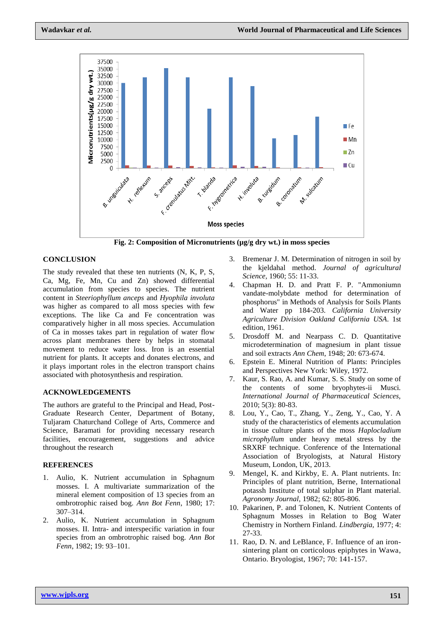

**Fig. 2: Composition of Micronutrients (µg/g dry wt.) in moss species**

## **CONCLUSION**

The study revealed that these ten nutrients (N, K, P, S, Ca, Mg, Fe, Mn, Cu and Zn) showed differential accumulation from species to species. The nutrient content in *Steeriophyllum anceps* and *Hyophila involuta*  was higher as compared to all moss species with few exceptions. The like Ca and Fe concentration was comparatively higher in all moss species. Accumulation of Ca in mosses takes part in regulation of water flow across plant membranes there by helps in stomatal movement to reduce water loss. Iron is an essential nutrient for plants. It accepts and donates electrons, and it plays important roles in the electron transport chains associated with photosynthesis and respiration.

# **ACKNOWLEDGEMENTS**

The authors are grateful to the Principal and Head, Post-Graduate Research Center, Department of Botany, Tuljaram Chaturchand College of Arts, Commerce and Science, Baramati for providing necessary research facilities, encouragement, suggestions and advice throughout the research

#### **REFERENCES**

- 1. Aulio, K. Nutrient accumulation in Sphagnum mosses. I. A multivariate summarization of the mineral element composition of 13 species from an ombrotrophic raised bog. *Ann Bot Fenn*, 1980; 17: 307–314.
- 2. Aulio, K. Nutrient accumulation in Sphagnum mosses. II. Intra- and interspecific variation in four species from an ombrotrophic raised bog. *Ann Bot Fenn*, 1982; 19: 93–101.
- 3. Bremenar J. M. Determination of nitrogen in soil by the kjeldahal method. *Journal of agricultural Science,* 1960; 55: 11-33.
- 4. Chapman H. D. and Pratt F. P. "Ammoniumn vandate-molybdate method for determination of phosphorus" in Methods of Analysis for Soils Plants and Water pp 184-203. *California University Agriculture Division Oakland California USA*. 1st edition, 1961.
- 5. Drosdoff M. and Nearpass C. D. Quantitative microdetermination of magnesium in plant tissue and soil extracts *Ann Chem*, 1948; 20: 673-674.
- 6. Epstein E. Mineral Nutrition of Plants: Principles and Perspectives New York: Wiley, 1972.
- 7. Kaur, S. Rao, A. and Kumar, S. S. Study on some of the contents of some bryophytes-ii Musci*. International Journal of Pharmaceutical Sciences,* 2010; 5(3): 80-83.
- 8. Lou, Y., Cao, T., Zhang, Y., Zeng, Y., Cao, Y. A study of the characteristics of elements accumulation in tissue culture plants of the moss *Haplocladium microphyllum* under heavy metal stress by the SRXRF technique. Conference of the International Association of Bryologists, at Natural History Museum, London, UK, 2013.
- 9. Mengel, K. and Kirkby, E. A. Plant nutrients. In: Principles of plant nutrition, Berne, International potassh Institute of total sulphar in Plant material. *Agronomy Journal,* 1982; 62: 805-806.
- 10. Pakarinen, P. and Tolonen, K. Nutrient Contents of Sphagnum Mosses in Relation to Bog Water Chemistry in Northern Finland. *Lindbergia,* 1977; 4: 27-33.
- 11. Rao, D. N. and LeBlance, F. Influence of an ironsintering plant on corticolous epiphytes in Wawa, Ontario. Bryologist, 1967; 70: 141-157.